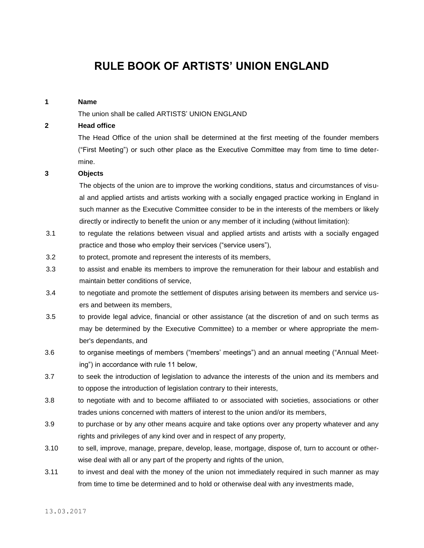# **RULE BOOK OF ARTISTS' UNION ENGLAND**

#### **1 Name**

The union shall be called ARTISTS' UNION ENGLAND

## **2 Head office**

 The Head Office of the union shall be determined at the first meeting of the founder members ("First Meeting") or such other place as the Executive Committee may from time to time determine.

### **3 Objects**

 The objects of the union are to improve the working conditions, status and circumstances of visual and applied artists and artists working with a socially engaged practice working in England in such manner as the Executive Committee consider to be in the interests of the members or likely directly or indirectly to benefit the union or any member of it including (without limitation):

- 3.1 to regulate the relations between visual and applied artists and artists with a socially engaged practice and those who employ their services ("service users"),
- 3.2 to protect, promote and represent the interests of its members,
- 3.3 to assist and enable its members to improve the remuneration for their labour and establish and maintain better conditions of service,
- 3.4 to negotiate and promote the settlement of disputes arising between its members and service users and between its members,
- 3.5 to provide legal advice, financial or other assistance (at the discretion of and on such terms as may be determined by the Executive Committee) to a member or where appropriate the member's dependants, and
- 3.6 to organise meetings of members ("members' meetings") and an annual meeting ("Annual Meeting") in accordance with rule 11 below,
- 3.7 to seek the introduction of legislation to advance the interests of the union and its members and to oppose the introduction of legislation contrary to their interests,
- 3.8 to negotiate with and to become affiliated to or associated with societies, associations or other trades unions concerned with matters of interest to the union and/or its members,
- 3.9 to purchase or by any other means acquire and take options over any property whatever and any rights and privileges of any kind over and in respect of any property,
- 3.10 to sell, improve, manage, prepare, develop, lease, mortgage, dispose of, turn to account or otherwise deal with all or any part of the property and rights of the union,
- 3.11 to invest and deal with the money of the union not immediately required in such manner as may from time to time be determined and to hold or otherwise deal with any investments made,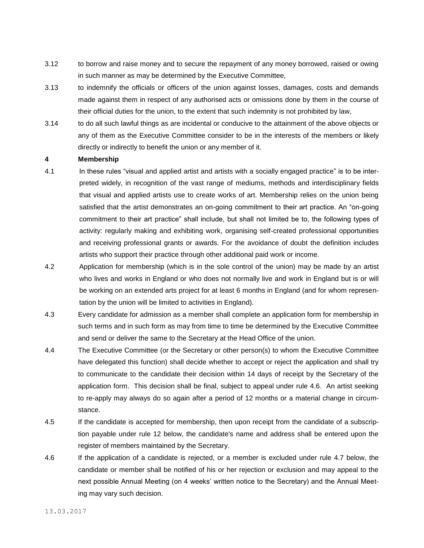- 3.12 to borrow and raise money and to secure the repayment of any money borrowed, raised or owing in such manner as may be determined by the Executive Committee,
- 3.13 to indemnify the officials or officers of the union against losses, damages, costs and demands made against them in respect of any authorised acts or omissions done by them in the course of their official duties for the union, to the extent that such indemnity is not prohibited by law,
- 3.14 to do all such lawful things as are incidental or conducive to the attainment of the above objects or any of them as the Executive Committee consider to be in the interests of the members or likely directly or indirectly to benefit the union or any member of it.

### **4 Membership**

- 4.1 In these rules "visual and applied artist and artists with a socially engaged practice" is to be interpreted widely, in recognition of the vast range of mediums, methods and interdisciplinary fields that visual and applied artists use to create works of art. Membership relies on the union being satisfied that the artist demonstrates an on-going commitment to their art practice. An "on-going commitment to their art practice" shall include, but shall not limited be to, the following types of activity: regularly making and exhibiting work, organising self-created professional opportunities and receiving professional grants or awards. For the avoidance of doubt the definition includes artists who support their practice through other additional paid work or income.
- 4.2 Application for membership (which is in the sole control of the union) may be made by an artist who lives and works in England or who does not normally live and work in England but is or will be working on an extended arts project for at least 6 months in England (and for whom representation by the union will be limited to activities in England).
- 4.3 Every candidate for admission as a member shall complete an application form for membership in such terms and in such form as may from time to time be determined by the Executive Committee and send or deliver the same to the Secretary at the Head Office of the union.
- 4.4 The Executive Committee (or the Secretary or other person(s) to whom the Executive Committee have delegated this function) shall decide whether to accept or reject the application and shall try to communicate to the candidate their decision within 14 days of receipt by the Secretary of the application form. This decision shall be final, subject to appeal under rule 4.6. An artist seeking to re-apply may always do so again after a period of 12 months or a material change in circumstance.
- 4.5 If the candidate is accepted for membership, then upon receipt from the candidate of a subscription payable under rule 12 below, the candidate's name and address shall be entered upon the register of members maintained by the Secretary.
- 4.6 If the application of a candidate is rejected, or a member is excluded under rule 4.7 below, the candidate or member shall be notified of his or her rejection or exclusion and may appeal to the next possible Annual Meeting (on 4 weeks' written notice to the Secretary) and the Annual Meeting may vary such decision.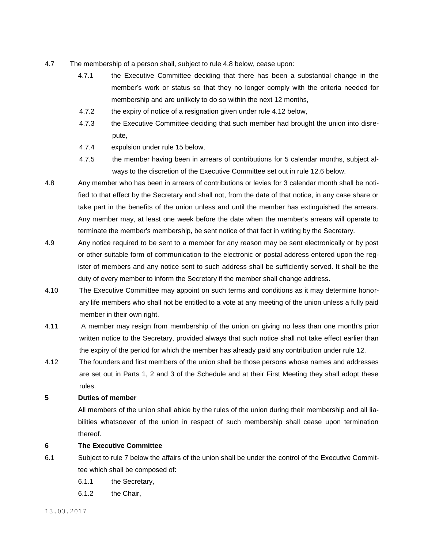- 4.7 The membership of a person shall, subject to rule 4.8 below, cease upon:
	- 4.7.1 the Executive Committee deciding that there has been a substantial change in the member's work or status so that they no longer comply with the criteria needed for membership and are unlikely to do so within the next 12 months,
	- 4.7.2 the expiry of notice of a resignation given under rule 4.12 below,
	- 4.7.3 the Executive Committee deciding that such member had brought the union into disrepute,
	- 4.7.4 expulsion under rule 15 below,
	- 4.7.5 the member having been in arrears of contributions for 5 calendar months, subject always to the discretion of the Executive Committee set out in rule 12.6 below.
- 4.8 Any member who has been in arrears of contributions or levies for 3 calendar month shall be notified to that effect by the Secretary and shall not, from the date of that notice, in any case share or take part in the benefits of the union unless and until the member has extinguished the arrears. Any member may, at least one week before the date when the member's arrears will operate to terminate the member's membership, be sent notice of that fact in writing by the Secretary.
- 4.9 Any notice required to be sent to a member for any reason may be sent electronically or by post or other suitable form of communication to the electronic or postal address entered upon the register of members and any notice sent to such address shall be sufficiently served. It shall be the duty of every member to inform the Secretary if the member shall change address.
- 4.10 The Executive Committee may appoint on such terms and conditions as it may determine honorary life members who shall not be entitled to a vote at any meeting of the union unless a fully paid member in their own right.
- 4.11 A member may resign from membership of the union on giving no less than one month's prior written notice to the Secretary, provided always that such notice shall not take effect earlier than the expiry of the period for which the member has already paid any contribution under rule 12.
- 4.12 The founders and first members of the union shall be those persons whose names and addresses are set out in Parts 1, 2 and 3 of the Schedule and at their First Meeting they shall adopt these rules.

#### **5 Duties of member**

 All members of the union shall abide by the rules of the union during their membership and all liabilities whatsoever of the union in respect of such membership shall cease upon termination thereof.

## **6 The Executive Committee**

- 6.1 Subject to rule 7 below the affairs of the union shall be under the control of the Executive Committee which shall be composed of:
	- 6.1.1 the Secretary,
	- 6.1.2 the Chair,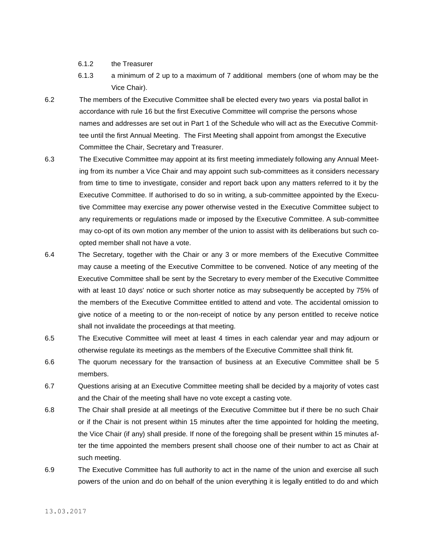- 6.1.2 the Treasurer
- 6.1.3 a minimum of 2 up to a maximum of 7 additional members (one of whom may be the Vice Chair).
- 6.2 The members of the Executive Committee shall be elected every two years via postal ballot in accordance with rule 16 but the first Executive Committee will comprise the persons whose names and addresses are set out in Part 1 of the Schedule who will act as the Executive Committee until the first Annual Meeting. The First Meeting shall appoint from amongst the Executive Committee the Chair, Secretary and Treasurer.
- 6.3 The Executive Committee may appoint at its first meeting immediately following any Annual Meeting from its number a Vice Chair and may appoint such sub-committees as it considers necessary from time to time to investigate, consider and report back upon any matters referred to it by the Executive Committee. If authorised to do so in writing, a sub-committee appointed by the Executive Committee may exercise any power otherwise vested in the Executive Committee subject to any requirements or regulations made or imposed by the Executive Committee. A sub-committee may co-opt of its own motion any member of the union to assist with its deliberations but such coopted member shall not have a vote.
- 6.4 The Secretary, together with the Chair or any 3 or more members of the Executive Committee may cause a meeting of the Executive Committee to be convened. Notice of any meeting of the Executive Committee shall be sent by the Secretary to every member of the Executive Committee with at least 10 days' notice or such shorter notice as may subsequently be accepted by 75% of the members of the Executive Committee entitled to attend and vote. The accidental omission to give notice of a meeting to or the non-receipt of notice by any person entitled to receive notice shall not invalidate the proceedings at that meeting.
- 6.5 The Executive Committee will meet at least 4 times in each calendar year and may adjourn or otherwise regulate its meetings as the members of the Executive Committee shall think fit.
- 6.6 The quorum necessary for the transaction of business at an Executive Committee shall be 5 members.
- 6.7 Questions arising at an Executive Committee meeting shall be decided by a majority of votes cast and the Chair of the meeting shall have no vote except a casting vote.
- 6.8 The Chair shall preside at all meetings of the Executive Committee but if there be no such Chair or if the Chair is not present within 15 minutes after the time appointed for holding the meeting, the Vice Chair (if any) shall preside. If none of the foregoing shall be present within 15 minutes after the time appointed the members present shall choose one of their number to act as Chair at such meeting.
- 6.9 The Executive Committee has full authority to act in the name of the union and exercise all such powers of the union and do on behalf of the union everything it is legally entitled to do and which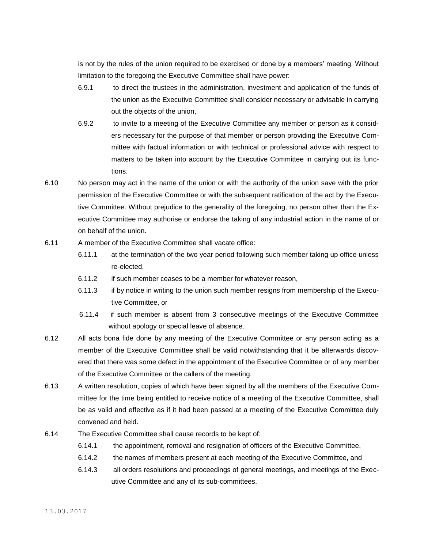is not by the rules of the union required to be exercised or done by a members' meeting. Without limitation to the foregoing the Executive Committee shall have power:

- 6.9.1 to direct the trustees in the administration, investment and application of the funds of the union as the Executive Committee shall consider necessary or advisable in carrying out the objects of the union,
- 6.9.2 to invite to a meeting of the Executive Committee any member or person as it considers necessary for the purpose of that member or person providing the Executive Committee with factual information or with technical or professional advice with respect to matters to be taken into account by the Executive Committee in carrying out its functions.
- 6.10 No person may act in the name of the union or with the authority of the union save with the prior permission of the Executive Committee or with the subsequent ratification of the act by the Executive Committee. Without prejudice to the generality of the foregoing, no person other than the Executive Committee may authorise or endorse the taking of any industrial action in the name of or on behalf of the union.
- 6.11 A member of the Executive Committee shall vacate office:
	- 6.11.1 at the termination of the two year period following such member taking up office unless re-elected,
	- 6.11.2 if such member ceases to be a member for whatever reason,
	- 6.11.3 if by notice in writing to the union such member resigns from membership of the Executive Committee, or
	- 6.11.4 if such member is absent from 3 consecutive meetings of the Executive Committee without apology or special leave of absence.
- 6.12 All acts bona fide done by any meeting of the Executive Committee or any person acting as a member of the Executive Committee shall be valid notwithstanding that it be afterwards discovered that there was some defect in the appointment of the Executive Committee or of any member of the Executive Committee or the callers of the meeting.
- 6.13 A written resolution, copies of which have been signed by all the members of the Executive Committee for the time being entitled to receive notice of a meeting of the Executive Committee, shall be as valid and effective as if it had been passed at a meeting of the Executive Committee duly convened and held.
- 6.14 The Executive Committee shall cause records to be kept of:
	- 6.14.1 the appointment, removal and resignation of officers of the Executive Committee,
	- 6.14.2 the names of members present at each meeting of the Executive Committee, and
	- 6.14.3 all orders resolutions and proceedings of general meetings, and meetings of the Executive Committee and any of its sub-committees.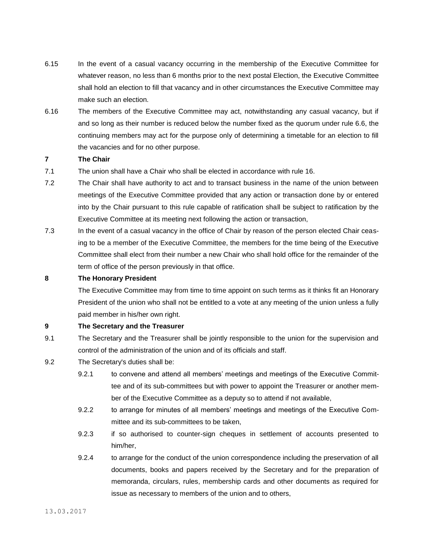- 6.15 In the event of a casual vacancy occurring in the membership of the Executive Committee for whatever reason, no less than 6 months prior to the next postal Election, the Executive Committee shall hold an election to fill that vacancy and in other circumstances the Executive Committee may make such an election.
- 6.16 The members of the Executive Committee may act, notwithstanding any casual vacancy, but if and so long as their number is reduced below the number fixed as the quorum under rule 6.6, the continuing members may act for the purpose only of determining a timetable for an election to fill the vacancies and for no other purpose.

## **7 The Chair**

- 7.1 The union shall have a Chair who shall be elected in accordance with rule 16.
- 7.2 The Chair shall have authority to act and to transact business in the name of the union between meetings of the Executive Committee provided that any action or transaction done by or entered into by the Chair pursuant to this rule capable of ratification shall be subject to ratification by the Executive Committee at its meeting next following the action or transaction,
- 7.3 In the event of a casual vacancy in the office of Chair by reason of the person elected Chair ceasing to be a member of the Executive Committee, the members for the time being of the Executive Committee shall elect from their number a new Chair who shall hold office for the remainder of the term of office of the person previously in that office.

#### **8 The Honorary President**

 The Executive Committee may from time to time appoint on such terms as it thinks fit an Honorary President of the union who shall not be entitled to a vote at any meeting of the union unless a fully paid member in his/her own right.

# **9 The Secretary and the Treasurer**

- 9.1 The Secretary and the Treasurer shall be jointly responsible to the union for the supervision and control of the administration of the union and of its officials and staff.
- 9.2 The Secretary's duties shall be:
	- 9.2.1 to convene and attend all members' meetings and meetings of the Executive Committee and of its sub-committees but with power to appoint the Treasurer or another member of the Executive Committee as a deputy so to attend if not available,
	- 9.2.2 to arrange for minutes of all members' meetings and meetings of the Executive Committee and its sub-committees to be taken,
	- 9.2.3 if so authorised to counter-sign cheques in settlement of accounts presented to him/her,
	- 9.2.4 to arrange for the conduct of the union correspondence including the preservation of all documents, books and papers received by the Secretary and for the preparation of memoranda, circulars, rules, membership cards and other documents as required for issue as necessary to members of the union and to others,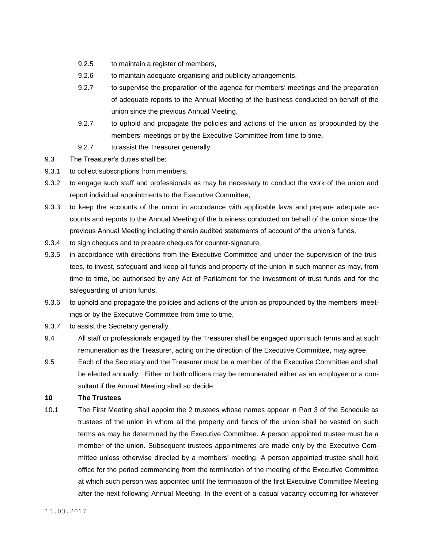- 9.2.5 to maintain a register of members,
- 9.2.6 to maintain adequate organising and publicity arrangements,
- 9.2.7 to supervise the preparation of the agenda for members' meetings and the preparation of adequate reports to the Annual Meeting of the business conducted on behalf of the union since the previous Annual Meeting,
- 9.2.7 to uphold and propagate the policies and actions of the union as propounded by the members' meetings or by the Executive Committee from time to time,
- 9.2.7 to assist the Treasurer generally.
- 9.3 The Treasurer's duties shall be:
- 9.3.1 to collect subscriptions from members,
- 9.3.2 to engage such staff and professionals as may be necessary to conduct the work of the union and report individual appointments to the Executive Committee,
- 9.3.3 to keep the accounts of the union in accordance with applicable laws and prepare adequate accounts and reports to the Annual Meeting of the business conducted on behalf of the union since the previous Annual Meeting including therein audited statements of account of the union's funds,
- 9.3.4 to sign cheques and to prepare cheques for counter-signature,
- 9.3.5 in accordance with directions from the Executive Committee and under the supervision of the trustees, to invest, safeguard and keep all funds and property of the union in such manner as may, from time to time, be authorised by any Act of Parliament for the investment of trust funds and for the safeguarding of union funds,
- 9.3.6 to uphold and propagate the policies and actions of the union as propounded by the members' meetings or by the Executive Committee from time to time,
- 9.3.7 to assist the Secretary generally.
- 9.4 All staff or professionals engaged by the Treasurer shall be engaged upon such terms and at such remuneration as the Treasurer, acting on the direction of the Executive Committee, may agree.
- 9.5 Each of the Secretary and the Treasurer must be a member of the Executive Committee and shall be elected annually. Either or both officers may be remunerated either as an employee or a consultant if the Annual Meeting shall so decide.
- **10 The Trustees**
- 10.1 The First Meeting shall appoint the 2 trustees whose names appear in Part 3 of the Schedule as trustees of the union in whom all the property and funds of the union shall be vested on such terms as may be determined by the Executive Committee. A person appointed trustee must be a member of the union. Subsequent trustees appointments are made only by the Executive Committee unless otherwise directed by a members' meeting. A person appointed trustee shall hold office for the period commencing from the termination of the meeting of the Executive Committee at which such person was appointed until the termination of the first Executive Committee Meeting after the next following Annual Meeting. In the event of a casual vacancy occurring for whatever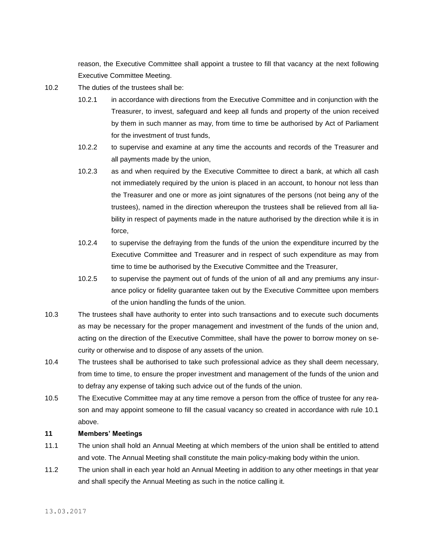reason, the Executive Committee shall appoint a trustee to fill that vacancy at the next following Executive Committee Meeting.

- 10.2 The duties of the trustees shall be:
	- 10.2.1 in accordance with directions from the Executive Committee and in conjunction with the Treasurer, to invest, safeguard and keep all funds and property of the union received by them in such manner as may, from time to time be authorised by Act of Parliament for the investment of trust funds,
	- 10.2.2 to supervise and examine at any time the accounts and records of the Treasurer and all payments made by the union,
	- 10.2.3 as and when required by the Executive Committee to direct a bank, at which all cash not immediately required by the union is placed in an account, to honour not less than the Treasurer and one or more as joint signatures of the persons (not being any of the trustees), named in the direction whereupon the trustees shall be relieved from all liability in respect of payments made in the nature authorised by the direction while it is in force,
	- 10.2.4 to supervise the defraying from the funds of the union the expenditure incurred by the Executive Committee and Treasurer and in respect of such expenditure as may from time to time be authorised by the Executive Committee and the Treasurer,
	- 10.2.5 to supervise the payment out of funds of the union of all and any premiums any insurance policy or fidelity guarantee taken out by the Executive Committee upon members of the union handling the funds of the union.
- 10.3 The trustees shall have authority to enter into such transactions and to execute such documents as may be necessary for the proper management and investment of the funds of the union and, acting on the direction of the Executive Committee, shall have the power to borrow money on security or otherwise and to dispose of any assets of the union.
- 10.4 The trustees shall be authorised to take such professional advice as they shall deem necessary, from time to time, to ensure the proper investment and management of the funds of the union and to defray any expense of taking such advice out of the funds of the union.
- 10.5 The Executive Committee may at any time remove a person from the office of trustee for any reason and may appoint someone to fill the casual vacancy so created in accordance with rule 10.1 above.

# **11 Members' Meetings**

- 11.1 The union shall hold an Annual Meeting at which members of the union shall be entitled to attend and vote. The Annual Meeting shall constitute the main policy-making body within the union.
- 11.2 The union shall in each year hold an Annual Meeting in addition to any other meetings in that year and shall specify the Annual Meeting as such in the notice calling it.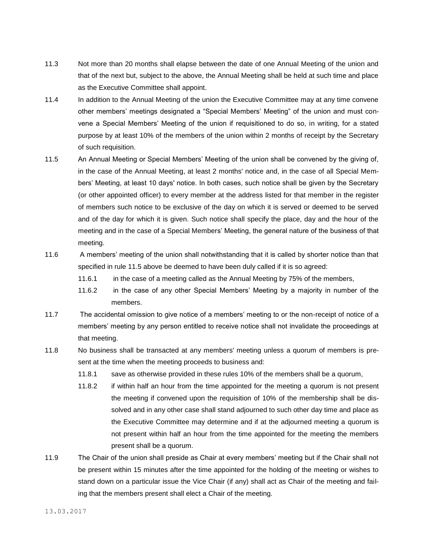- 11.3 Not more than 20 months shall elapse between the date of one Annual Meeting of the union and that of the next but, subject to the above, the Annual Meeting shall be held at such time and place as the Executive Committee shall appoint.
- 11.4 In addition to the Annual Meeting of the union the Executive Committee may at any time convene other members' meetings designated a "Special Members' Meeting" of the union and must convene a Special Members' Meeting of the union if requisitioned to do so, in writing, for a stated purpose by at least 10% of the members of the union within 2 months of receipt by the Secretary of such requisition.
- 11.5 An Annual Meeting or Special Members' Meeting of the union shall be convened by the giving of, in the case of the Annual Meeting, at least 2 months' notice and, in the case of all Special Members' Meeting, at least 10 days' notice. In both cases, such notice shall be given by the Secretary (or other appointed officer) to every member at the address listed for that member in the register of members such notice to be exclusive of the day on which it is served or deemed to be served and of the day for which it is given. Such notice shall specify the place, day and the hour of the meeting and in the case of a Special Members' Meeting, the general nature of the business of that meeting.
- 11.6 A members' meeting of the union shall notwithstanding that it is called by shorter notice than that specified in rule 11.5 above be deemed to have been duly called if it is so agreed:
	- 11.6.1 in the case of a meeting called as the Annual Meeting by 75% of the members,
	- 11.6.2 in the case of any other Special Members' Meeting by a majority in number of the members.
- 11.7 The accidental omission to give notice of a members' meeting to or the non-receipt of notice of a members' meeting by any person entitled to receive notice shall not invalidate the proceedings at that meeting.
- 11.8 No business shall be transacted at any members' meeting unless a quorum of members is present at the time when the meeting proceeds to business and:
	- 11.8.1 save as otherwise provided in these rules 10% of the members shall be a quorum,
	- 11.8.2 if within half an hour from the time appointed for the meeting a quorum is not present the meeting if convened upon the requisition of 10% of the membership shall be dissolved and in any other case shall stand adjourned to such other day time and place as the Executive Committee may determine and if at the adjourned meeting a quorum is not present within half an hour from the time appointed for the meeting the members present shall be a quorum.
- 11.9 The Chair of the union shall preside as Chair at every members' meeting but if the Chair shall not be present within 15 minutes after the time appointed for the holding of the meeting or wishes to stand down on a particular issue the Vice Chair (if any) shall act as Chair of the meeting and failing that the members present shall elect a Chair of the meeting.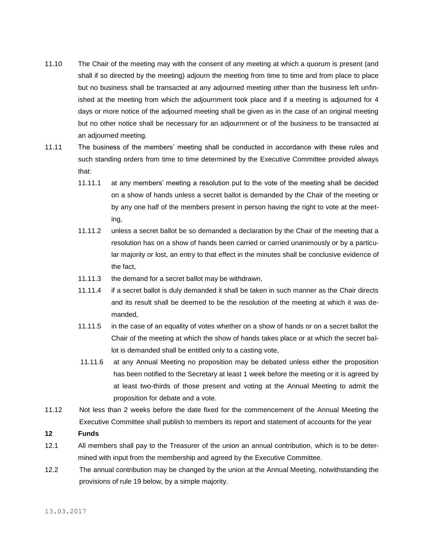- 11.10 The Chair of the meeting may with the consent of any meeting at which a quorum is present (and shall if so directed by the meeting) adjourn the meeting from time to time and from place to place but no business shall be transacted at any adjourned meeting other than the business left unfinished at the meeting from which the adjournment took place and if a meeting is adjourned for 4 days or more notice of the adjourned meeting shall be given as in the case of an original meeting but no other notice shall be necessary for an adjournment or of the business to be transacted at an adjourned meeting.
- 11.11 The business of the members' meeting shall be conducted in accordance with these rules and such standing orders from time to time determined by the Executive Committee provided always that:
	- 11.11.1 at any members' meeting a resolution put to the vote of the meeting shall be decided on a show of hands unless a secret ballot is demanded by the Chair of the meeting or by any one half of the members present in person having the right to vote at the meeting,
	- 11.11.2 unless a secret ballot be so demanded a declaration by the Chair of the meeting that a resolution has on a show of hands been carried or carried unanimously or by a particular majority or lost, an entry to that effect in the minutes shall be conclusive evidence of the fact,
	- 11.11.3 the demand for a secret ballot may be withdrawn,
	- 11.11.4 if a secret ballot is duly demanded it shall be taken in such manner as the Chair directs and its result shall be deemed to be the resolution of the meeting at which it was demanded,
	- 11.11.5 in the case of an equality of votes whether on a show of hands or on a secret ballot the Chair of the meeting at which the show of hands takes place or at which the secret ballot is demanded shall be entitled only to a casting vote,
	- 11.11.6 at any Annual Meeting no proposition may be debated unless either the proposition has been notified to the Secretary at least 1 week before the meeting or it is agreed by at least two-thirds of those present and voting at the Annual Meeting to admit the proposition for debate and a vote.
- 11.12 Not less than 2 weeks before the date fixed for the commencement of the Annual Meeting the Executive Committee shall publish to members its report and statement of accounts for the year
- **12 Funds**
- 12.1 All members shall pay to the Treasurer of the union an annual contribution, which is to be determined with input from the membership and agreed by the Executive Committee.
- 12.2 The annual contribution may be changed by the union at the Annual Meeting, notwithstanding the provisions of rule 19 below, by a simple majority.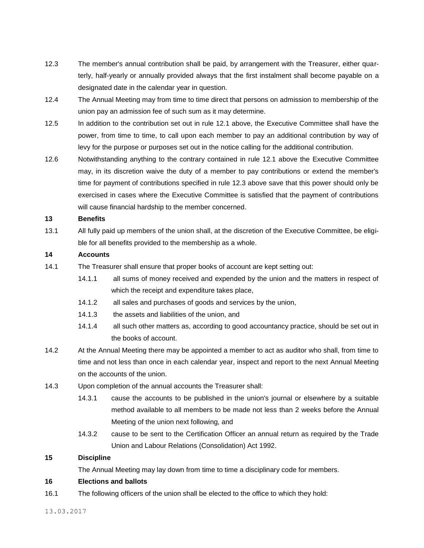- 12.3 The member's annual contribution shall be paid, by arrangement with the Treasurer, either quarterly, half-yearly or annually provided always that the first instalment shall become payable on a designated date in the calendar year in question.
- 12.4 The Annual Meeting may from time to time direct that persons on admission to membership of the union pay an admission fee of such sum as it may determine.
- 12.5 In addition to the contribution set out in rule 12.1 above, the Executive Committee shall have the power, from time to time, to call upon each member to pay an additional contribution by way of levy for the purpose or purposes set out in the notice calling for the additional contribution.
- 12.6 Notwithstanding anything to the contrary contained in rule 12.1 above the Executive Committee may, in its discretion waive the duty of a member to pay contributions or extend the member's time for payment of contributions specified in rule 12.3 above save that this power should only be exercised in cases where the Executive Committee is satisfied that the payment of contributions will cause financial hardship to the member concerned.

## **13 Benefits**

13.1 All fully paid up members of the union shall, at the discretion of the Executive Committee, be eligible for all benefits provided to the membership as a whole.

## **14 Accounts**

- 14.1 The Treasurer shall ensure that proper books of account are kept setting out:
	- 14.1.1 all sums of money received and expended by the union and the matters in respect of which the receipt and expenditure takes place,
	- 14.1.2 all sales and purchases of goods and services by the union,
	- 14.1.3 the assets and liabilities of the union, and
	- 14.1.4 all such other matters as, according to good accountancy practice, should be set out in the books of account.
- 14.2 At the Annual Meeting there may be appointed a member to act as auditor who shall, from time to time and not less than once in each calendar year, inspect and report to the next Annual Meeting on the accounts of the union.
- 14.3 Upon completion of the annual accounts the Treasurer shall:
	- 14.3.1 cause the accounts to be published in the union's journal or elsewhere by a suitable method available to all members to be made not less than 2 weeks before the Annual Meeting of the union next following, and
	- 14.3.2 cause to be sent to the Certification Officer an annual return as required by the Trade Union and Labour Relations (Consolidation) Act 1992.

# **15 Discipline**

The Annual Meeting may lay down from time to time a disciplinary code for members.

# **16 Elections and ballots**

16.1 The following officers of the union shall be elected to the office to which they hold: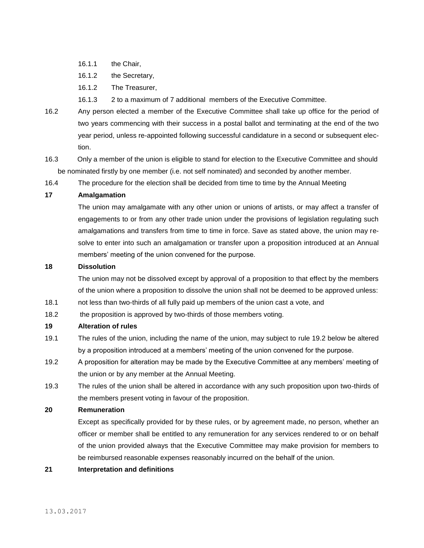- 16.1.1 the Chair,
- 16.1.2 the Secretary,
- 16.1.2 The Treasurer,
- 16.1.3 2 to a maximum of 7 additional members of the Executive Committee.
- 16.2 Any person elected a member of the Executive Committee shall take up office for the period of two years commencing with their success in a postal ballot and terminating at the end of the two year period, unless re-appointed following successful candidature in a second or subsequent election.
- 16.3 Only a member of the union is eligible to stand for election to the Executive Committee and should be nominated firstly by one member (i.e. not self nominated) and seconded by another member.
- 16.4 The procedure for the election shall be decided from time to time by the Annual Meeting

# **17 Amalgamation**

 The union may amalgamate with any other union or unions of artists, or may affect a transfer of engagements to or from any other trade union under the provisions of legislation regulating such amalgamations and transfers from time to time in force. Save as stated above, the union may resolve to enter into such an amalgamation or transfer upon a proposition introduced at an Annual members' meeting of the union convened for the purpose.

# **18 Dissolution**

 The union may not be dissolved except by approval of a proposition to that effect by the members of the union where a proposition to dissolve the union shall not be deemed to be approved unless:

- 18.1 not less than two-thirds of all fully paid up members of the union cast a vote, and
- 18.2 the proposition is approved by two-thirds of those members voting.

#### **19 Alteration of rules**

- 19.1 The rules of the union, including the name of the union, may subject to rule 19.2 below be altered by a proposition introduced at a members' meeting of the union convened for the purpose.
- 19.2 A proposition for alteration may be made by the Executive Committee at any members' meeting of the union or by any member at the Annual Meeting.
- 19.3 The rules of the union shall be altered in accordance with any such proposition upon two-thirds of the members present voting in favour of the proposition.

#### **20 Remuneration**

 Except as specifically provided for by these rules, or by agreement made, no person, whether an officer or member shall be entitled to any remuneration for any services rendered to or on behalf of the union provided always that the Executive Committee may make provision for members to be reimbursed reasonable expenses reasonably incurred on the behalf of the union.

**21 Interpretation and definitions**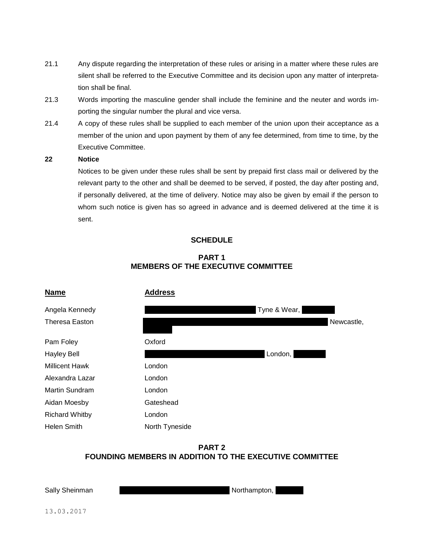- 21.1 Any dispute regarding the interpretation of these rules or arising in a matter where these rules are silent shall be referred to the Executive Committee and its decision upon any matter of interpretation shall be final.
- 21.3 Words importing the masculine gender shall include the feminine and the neuter and words importing the singular number the plural and vice versa.
- 21.4 A copy of these rules shall be supplied to each member of the union upon their acceptance as a member of the union and upon payment by them of any fee determined, from time to time, by the Executive Committee.

**22 Notice**

 Notices to be given under these rules shall be sent by prepaid first class mail or delivered by the relevant party to the other and shall be deemed to be served, if posted, the day after posting and, if personally delivered, at the time of delivery. Notice may also be given by email if the person to whom such notice is given has so agreed in advance and is deemed delivered at the time it is sent.

# **SCHEDULE**

# **PART 1 MEMBERS OF THE EXECUTIVE COMMITTEE**



# **PART 2 FOUNDING MEMBERS IN ADDITION TO THE EXECUTIVE COMMITTEE**

Sally Sheinman Middle Court House, 6 Northampton, Northampton, Northampton, Northampton, Northampton, Nurse, N

13.03.2017